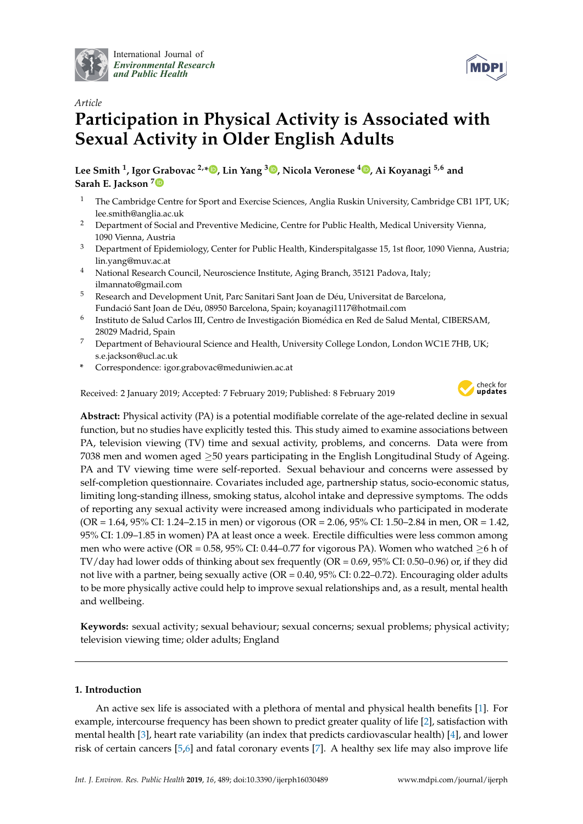

International Journal of *[Environmental Research](http://www.mdpi.com/journal/ijerph) and Public Health*



# *Article* **Participation in Physical Activity is Associated with Sexual Activity in Older English Adults**

**Lee Smith <sup>1</sup> , Igor Grabovac 2,[\\*](https://orcid.org/0000-0001-9605-1467) , Lin Yang <sup>3</sup> [,](https://orcid.org/0000-0002-1698-6666) Nicola Veronese <sup>4</sup> [,](https://orcid.org/0000-0002-9328-289X) Ai Koyanagi 5,6 and Sarah E. Jackson [7](https://orcid.org/0000-0001-5658-6168)**

- <sup>1</sup> The Cambridge Centre for Sport and Exercise Sciences, Anglia Ruskin University, Cambridge CB1 1PT, UK; lee.smith@anglia.ac.uk
- <sup>2</sup> Department of Social and Preventive Medicine, Centre for Public Health, Medical University Vienna, 1090 Vienna, Austria
- <sup>3</sup> Department of Epidemiology, Center for Public Health, Kinderspitalgasse 15, 1st floor, 1090 Vienna, Austria; lin.yang@muv.ac.at
- <sup>4</sup> National Research Council, Neuroscience Institute, Aging Branch, 35121 Padova, Italy; ilmannato@gmail.com
- <sup>5</sup> Research and Development Unit, Parc Sanitari Sant Joan de Déu, Universitat de Barcelona, Fundació Sant Joan de Déu, 08950 Barcelona, Spain; koyanagi1117@hotmail.com
- 6 Instituto de Salud Carlos III, Centro de Investigación Biomédica en Red de Salud Mental, CIBERSAM, 28029 Madrid, Spain
- <sup>7</sup> Department of Behavioural Science and Health, University College London, London WC1E 7HB, UK; s.e.jackson@ucl.ac.uk
- **\*** Correspondence: igor.grabovac@meduniwien.ac.at

Received: 2 January 2019; Accepted: 7 February 2019; Published: 8 February 2019



**Abstract:** Physical activity (PA) is a potential modifiable correlate of the age-related decline in sexual function, but no studies have explicitly tested this. This study aimed to examine associations between PA, television viewing (TV) time and sexual activity, problems, and concerns. Data were from 7038 men and women aged ≥50 years participating in the English Longitudinal Study of Ageing. PA and TV viewing time were self-reported. Sexual behaviour and concerns were assessed by self-completion questionnaire. Covariates included age, partnership status, socio-economic status, limiting long-standing illness, smoking status, alcohol intake and depressive symptoms. The odds of reporting any sexual activity were increased among individuals who participated in moderate (OR = 1.64, 95% CI: 1.24–2.15 in men) or vigorous (OR = 2.06, 95% CI: 1.50–2.84 in men, OR = 1.42, 95% CI: 1.09–1.85 in women) PA at least once a week. Erectile difficulties were less common among men who were active (OR =  $0.58$ ,  $95\%$  CI:  $0.44$ –0.77 for vigorous PA). Women who watched  $\geq 6$  h of TV/day had lower odds of thinking about sex frequently (OR = 0.69, 95% CI: 0.50–0.96) or, if they did not live with a partner, being sexually active (OR = 0.40, 95% CI: 0.22–0.72). Encouraging older adults to be more physically active could help to improve sexual relationships and, as a result, mental health and wellbeing.

**Keywords:** sexual activity; sexual behaviour; sexual concerns; sexual problems; physical activity; television viewing time; older adults; England

## **1. Introduction**

An active sex life is associated with a plethora of mental and physical health benefits [\[1\]](#page-11-0). For example, intercourse frequency has been shown to predict greater quality of life [\[2\]](#page-11-1), satisfaction with mental health [\[3\]](#page-11-2), heart rate variability (an index that predicts cardiovascular health) [\[4\]](#page-11-3), and lower risk of certain cancers [\[5,](#page-11-4)[6\]](#page-11-5) and fatal coronary events [\[7\]](#page-11-6). A healthy sex life may also improve life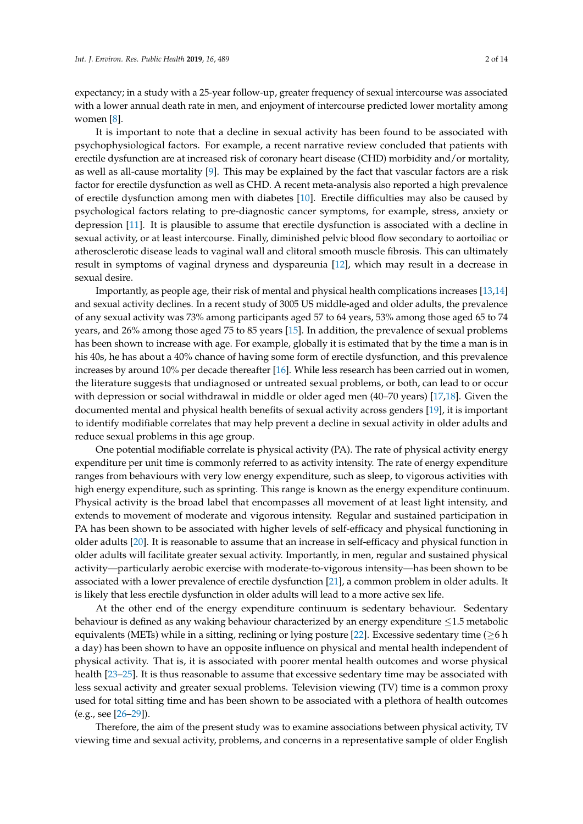expectancy; in a study with a 25-year follow-up, greater frequency of sexual intercourse was associated with a lower annual death rate in men, and enjoyment of intercourse predicted lower mortality among women [\[8\]](#page-11-7).

It is important to note that a decline in sexual activity has been found to be associated with psychophysiological factors. For example, a recent narrative review concluded that patients with erectile dysfunction are at increased risk of coronary heart disease (CHD) morbidity and/or mortality, as well as all-cause mortality [\[9\]](#page-11-8). This may be explained by the fact that vascular factors are a risk factor for erectile dysfunction as well as CHD. A recent meta-analysis also reported a high prevalence of erectile dysfunction among men with diabetes [\[10\]](#page-11-9). Erectile difficulties may also be caused by psychological factors relating to pre-diagnostic cancer symptoms, for example, stress, anxiety or depression [\[11\]](#page-11-10). It is plausible to assume that erectile dysfunction is associated with a decline in sexual activity, or at least intercourse. Finally, diminished pelvic blood flow secondary to aortoiliac or atherosclerotic disease leads to vaginal wall and clitoral smooth muscle fibrosis. This can ultimately result in symptoms of vaginal dryness and dyspareunia [\[12\]](#page-11-11), which may result in a decrease in sexual desire.

Importantly, as people age, their risk of mental and physical health complications increases [\[13,](#page-11-12)[14\]](#page-11-13) and sexual activity declines. In a recent study of 3005 US middle-aged and older adults, the prevalence of any sexual activity was 73% among participants aged 57 to 64 years, 53% among those aged 65 to 74 years, and 26% among those aged 75 to 85 years [\[15\]](#page-11-14). In addition, the prevalence of sexual problems has been shown to increase with age. For example, globally it is estimated that by the time a man is in his 40s, he has about a 40% chance of having some form of erectile dysfunction, and this prevalence increases by around 10% per decade thereafter [\[16\]](#page-11-15). While less research has been carried out in women, the literature suggests that undiagnosed or untreated sexual problems, or both, can lead to or occur with depression or social withdrawal in middle or older aged men (40–70 years) [\[17](#page-12-0)[,18\]](#page-12-1). Given the documented mental and physical health benefits of sexual activity across genders [\[19\]](#page-12-2), it is important to identify modifiable correlates that may help prevent a decline in sexual activity in older adults and reduce sexual problems in this age group.

One potential modifiable correlate is physical activity (PA). The rate of physical activity energy expenditure per unit time is commonly referred to as activity intensity. The rate of energy expenditure ranges from behaviours with very low energy expenditure, such as sleep, to vigorous activities with high energy expenditure, such as sprinting. This range is known as the energy expenditure continuum. Physical activity is the broad label that encompasses all movement of at least light intensity, and extends to movement of moderate and vigorous intensity. Regular and sustained participation in PA has been shown to be associated with higher levels of self-efficacy and physical functioning in older adults [\[20\]](#page-12-3). It is reasonable to assume that an increase in self-efficacy and physical function in older adults will facilitate greater sexual activity. Importantly, in men, regular and sustained physical activity—particularly aerobic exercise with moderate-to-vigorous intensity—has been shown to be associated with a lower prevalence of erectile dysfunction [\[21\]](#page-12-4), a common problem in older adults. It is likely that less erectile dysfunction in older adults will lead to a more active sex life.

At the other end of the energy expenditure continuum is sedentary behaviour. Sedentary behaviour is defined as any waking behaviour characterized by an energy expenditure ≤1.5 metabolic equivalents (METs) while in a sitting, reclining or lying posture [\[22\]](#page-12-5). Excessive sedentary time ( $\geq 6$  h a day) has been shown to have an opposite influence on physical and mental health independent of physical activity. That is, it is associated with poorer mental health outcomes and worse physical health [\[23](#page-12-6)[–25\]](#page-12-7). It is thus reasonable to assume that excessive sedentary time may be associated with less sexual activity and greater sexual problems. Television viewing (TV) time is a common proxy used for total sitting time and has been shown to be associated with a plethora of health outcomes (e.g., see [\[26](#page-12-8)[–29\]](#page-12-9)).

Therefore, the aim of the present study was to examine associations between physical activity, TV viewing time and sexual activity, problems, and concerns in a representative sample of older English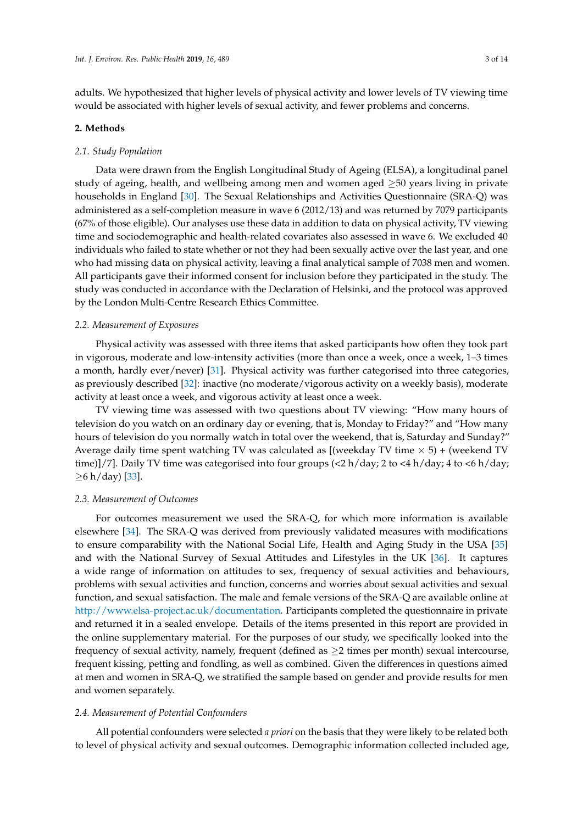adults. We hypothesized that higher levels of physical activity and lower levels of TV viewing time would be associated with higher levels of sexual activity, and fewer problems and concerns.

#### **2. Methods**

### *2.1. Study Population*

Data were drawn from the English Longitudinal Study of Ageing (ELSA), a longitudinal panel study of ageing, health, and wellbeing among men and women aged  $\geq$ 50 years living in private households in England [\[30\]](#page-12-10). The Sexual Relationships and Activities Questionnaire (SRA-Q) was administered as a self-completion measure in wave 6 (2012/13) and was returned by 7079 participants (67% of those eligible). Our analyses use these data in addition to data on physical activity, TV viewing time and sociodemographic and health-related covariates also assessed in wave 6. We excluded 40 individuals who failed to state whether or not they had been sexually active over the last year, and one who had missing data on physical activity, leaving a final analytical sample of 7038 men and women. All participants gave their informed consent for inclusion before they participated in the study. The study was conducted in accordance with the Declaration of Helsinki, and the protocol was approved by the London Multi-Centre Research Ethics Committee.

## *2.2. Measurement of Exposures*

Physical activity was assessed with three items that asked participants how often they took part in vigorous, moderate and low-intensity activities (more than once a week, once a week, 1–3 times a month, hardly ever/never) [\[31\]](#page-12-11). Physical activity was further categorised into three categories, as previously described [\[32\]](#page-12-12): inactive (no moderate/vigorous activity on a weekly basis), moderate activity at least once a week, and vigorous activity at least once a week.

TV viewing time was assessed with two questions about TV viewing: "How many hours of television do you watch on an ordinary day or evening, that is, Monday to Friday?" and "How many hours of television do you normally watch in total over the weekend, that is, Saturday and Sunday?" Average daily time spent watching TV was calculated as [(weekday TV time  $\times$  5) + (weekend TV time)]/7]. Daily TV time was categorised into four groups  $\left\langle \langle 2 \, h / \text{day} \rangle \right\rangle$  to  $\langle 4 \, h / \text{day} \rangle$ ; 4 to  $\langle 6 \, h / \text{day} \rangle$ ;  $≥ 6 h/day$  [\[33\]](#page-12-13).

### *2.3. Measurement of Outcomes*

For outcomes measurement we used the SRA-Q, for which more information is available elsewhere [\[34\]](#page-12-14). The SRA-Q was derived from previously validated measures with modifications to ensure comparability with the National Social Life, Health and Aging Study in the USA [\[35\]](#page-12-15) and with the National Survey of Sexual Attitudes and Lifestyles in the UK [\[36\]](#page-13-0). It captures a wide range of information on attitudes to sex, frequency of sexual activities and behaviours, problems with sexual activities and function, concerns and worries about sexual activities and sexual function, and sexual satisfaction. The male and female versions of the SRA-Q are available online at [http://www.elsa-project.ac.uk/documentation.](http://www.elsa-project.ac.uk/documentation) Participants completed the questionnaire in private and returned it in a sealed envelope. Details of the items presented in this report are provided in the online supplementary material. For the purposes of our study, we specifically looked into the frequency of sexual activity, namely, frequent (defined as  $\geq$  2 times per month) sexual intercourse, frequent kissing, petting and fondling, as well as combined. Given the differences in questions aimed at men and women in SRA-Q, we stratified the sample based on gender and provide results for men and women separately.

#### *2.4. Measurement of Potential Confounders*

All potential confounders were selected *a priori* on the basis that they were likely to be related both to level of physical activity and sexual outcomes. Demographic information collected included age,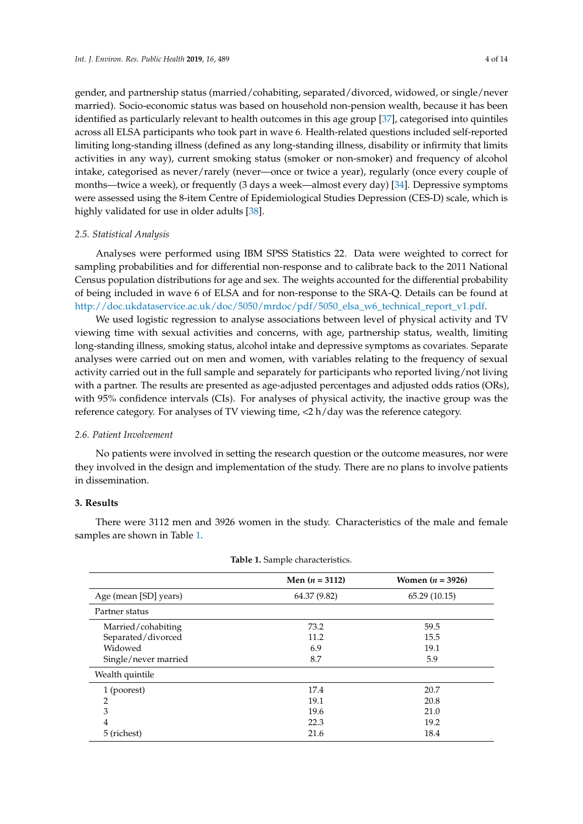gender, and partnership status (married/cohabiting, separated/divorced, widowed, or single/never married). Socio-economic status was based on household non-pension wealth, because it has been identified as particularly relevant to health outcomes in this age group [\[37\]](#page-13-1), categorised into quintiles across all ELSA participants who took part in wave 6. Health-related questions included self-reported limiting long-standing illness (defined as any long-standing illness, disability or infirmity that limits activities in any way), current smoking status (smoker or non-smoker) and frequency of alcohol intake, categorised as never/rarely (never—once or twice a year), regularly (once every couple of months—twice a week), or frequently (3 days a week—almost every day) [\[34\]](#page-12-14). Depressive symptoms were assessed using the 8-item Centre of Epidemiological Studies Depression (CES-D) scale, which is highly validated for use in older adults [\[38\]](#page-13-2).

## *2.5. Statistical Analysis*

Analyses were performed using IBM SPSS Statistics 22. Data were weighted to correct for sampling probabilities and for differential non-response and to calibrate back to the 2011 National Census population distributions for age and sex. The weights accounted for the differential probability of being included in wave 6 of ELSA and for non-response to the SRA-Q. Details can be found at [http://doc.ukdataservice.ac.uk/doc/5050/mrdoc/pdf/5050\\_elsa\\_w6\\_technical\\_report\\_v1.pdf.](http://doc.ukdataservice.ac.uk/doc/5050/mrdoc/pdf/5050_elsa_w6_technical_report_v1.pdf)

We used logistic regression to analyse associations between level of physical activity and TV viewing time with sexual activities and concerns, with age, partnership status, wealth, limiting long-standing illness, smoking status, alcohol intake and depressive symptoms as covariates. Separate analyses were carried out on men and women, with variables relating to the frequency of sexual activity carried out in the full sample and separately for participants who reported living/not living with a partner. The results are presented as age-adjusted percentages and adjusted odds ratios (ORs), with 95% confidence intervals (CIs). For analyses of physical activity, the inactive group was the reference category. For analyses of TV viewing time, <2 h/day was the reference category.

## *2.6. Patient Involvement*

No patients were involved in setting the research question or the outcome measures, nor were they involved in the design and implementation of the study. There are no plans to involve patients in dissemination.

## **3. Results**

There were 3112 men and 3926 women in the study. Characteristics of the male and female samples are shown in Table [1.](#page-4-0)

|                       | Men $(n = 3112)$ | Women $(n = 3926)$ |
|-----------------------|------------------|--------------------|
| Age (mean [SD] years) | 64.37 (9.82)     | 65.29 (10.15)      |
| Partner status        |                  |                    |
| Married/cohabiting    | 73.2             | 59.5               |
| Separated/divorced    | 11.2             | 15.5               |
| Widowed               | 6.9              | 19.1               |
| Single/never married  | 8.7              | 5.9                |
| Wealth quintile       |                  |                    |
| 1 (poorest)           | 17.4             | 20.7               |
| 2                     | 19.1             | 20.8               |
| 3                     | 19.6             | 21.0               |
| $\overline{4}$        | 22.3             | 19.2               |
| 5 (richest)           | 21.6             | 18.4               |
|                       |                  |                    |

**Table 1.** Sample characteristics.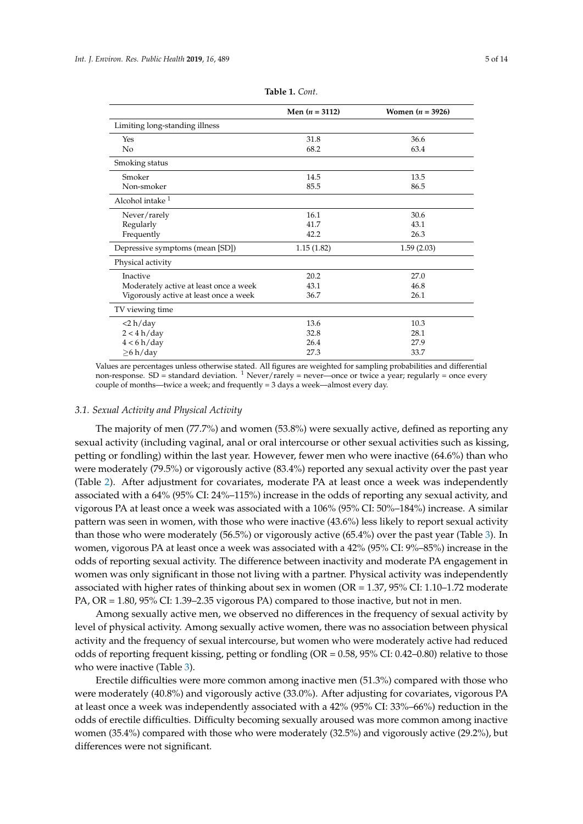<span id="page-4-0"></span>

|                                        | Men $(n = 3112)$ | Women $(n = 3926)$ |
|----------------------------------------|------------------|--------------------|
| Limiting long-standing illness         |                  |                    |
| Yes                                    | 31.8             | 36.6               |
| No                                     | 68.2             | 63.4               |
| Smoking status                         |                  |                    |
| Smoker                                 | 14.5             | 13.5               |
| Non-smoker                             | 85.5             | 86.5               |
| Alcohol intake <sup>1</sup>            |                  |                    |
| Never/rarely                           | 16.1             | 30.6               |
| Regularly                              | 41.7             | 43.1               |
| Frequently                             | 42.2             | 26.3               |
| Depressive symptoms (mean [SD])        | 1.15(1.82)       | 1.59(2.03)         |
| Physical activity                      |                  |                    |
| Inactive                               | 20.2             | 27.0               |
| Moderately active at least once a week | 43.1             | 46.8               |
| Vigorously active at least once a week | 36.7             | 26.1               |
| TV viewing time                        |                  |                    |
| $<$ 2 h/day                            | 13.6             | 10.3               |
| 2 < 4 h/day                            | 32.8             | 28.1               |
| 4 < 6 h/day                            | 26.4             | 27.9               |
| $\geq 6 \text{ h/day}$                 | 27.3             | 33.7               |

**Table 1.** *Cont*.

Values are percentages unless otherwise stated. All figures are weighted for sampling probabilities and differential non-response. SD = standard deviation. <sup>1</sup> Never/rarely = never—once or twice a year; regularly = once every couple of months—twice a week; and frequently = 3 days a week—almost every day.

#### *3.1. Sexual Activity and Physical Activity*

The majority of men (77.7%) and women (53.8%) were sexually active, defined as reporting any sexual activity (including vaginal, anal or oral intercourse or other sexual activities such as kissing, petting or fondling) within the last year. However, fewer men who were inactive (64.6%) than who were moderately (79.5%) or vigorously active (83.4%) reported any sexual activity over the past year (Table [2\)](#page-5-0). After adjustment for covariates, moderate PA at least once a week was independently associated with a 64% (95% CI: 24%–115%) increase in the odds of reporting any sexual activity, and vigorous PA at least once a week was associated with a 106% (95% CI: 50%–184%) increase. A similar pattern was seen in women, with those who were inactive (43.6%) less likely to report sexual activity than those who were moderately (56.5%) or vigorously active (65.4%) over the past year (Table [3\)](#page-6-0). In women, vigorous PA at least once a week was associated with a 42% (95% CI: 9%–85%) increase in the odds of reporting sexual activity. The difference between inactivity and moderate PA engagement in women was only significant in those not living with a partner. Physical activity was independently associated with higher rates of thinking about sex in women (OR = 1.37, 95% CI: 1.10–1.72 moderate PA, OR = 1.80, 95% CI: 1.39–2.35 vigorous PA) compared to those inactive, but not in men.

Among sexually active men, we observed no differences in the frequency of sexual activity by level of physical activity. Among sexually active women, there was no association between physical activity and the frequency of sexual intercourse, but women who were moderately active had reduced odds of reporting frequent kissing, petting or fondling (OR = 0.58, 95% CI: 0.42–0.80) relative to those who were inactive (Table [3\)](#page-6-0).

Erectile difficulties were more common among inactive men (51.3%) compared with those who were moderately (40.8%) and vigorously active (33.0%). After adjusting for covariates, vigorous PA at least once a week was independently associated with a 42% (95% CI: 33%–66%) reduction in the odds of erectile difficulties. Difficulty becoming sexually aroused was more common among inactive women (35.4%) compared with those who were moderately (32.5%) and vigorously active (29.2%), but differences were not significant.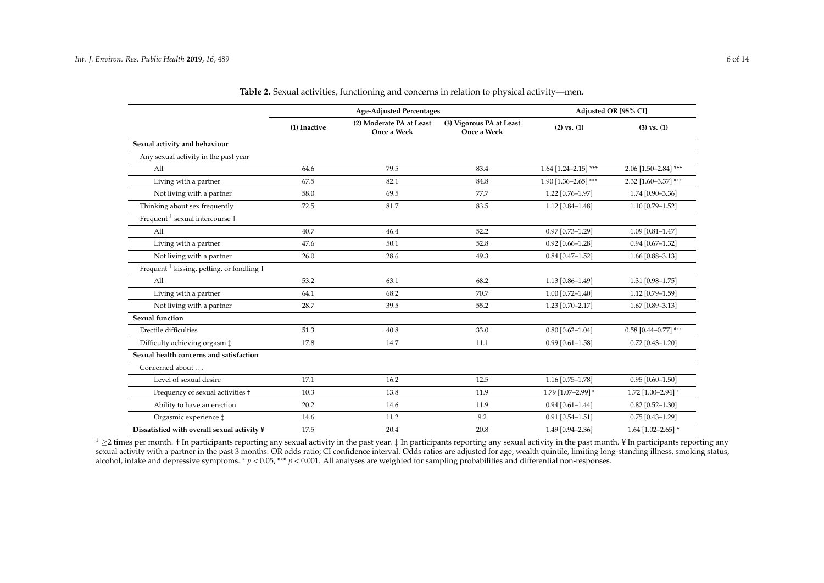|                                                       |              | <b>Age-Adjusted Percentages</b>         | Adjusted OR [95% CI]                    |                        |                        |  |
|-------------------------------------------------------|--------------|-----------------------------------------|-----------------------------------------|------------------------|------------------------|--|
|                                                       | (1) Inactive | (2) Moderate PA at Least<br>Once a Week | (3) Vigorous PA at Least<br>Once a Week | $(2)$ vs. $(1)$        | $(3)$ vs. $(1)$        |  |
| Sexual activity and behaviour                         |              |                                         |                                         |                        |                        |  |
| Any sexual activity in the past year                  |              |                                         |                                         |                        |                        |  |
| A11                                                   | 64.6         | 79.5                                    | 83.4                                    | $1.64$ [1.24-2.15] *** | 2.06 [1.50-2.84] ***   |  |
| Living with a partner                                 | 67.5         | 82.1                                    | 84.8                                    | $1.90$ [1.36-2.65] *** | 2.32 [1.60-3.37] ***   |  |
| Not living with a partner                             | 58.0         | 69.5                                    | 77.7                                    | 1.22 [0.76-1.97]       | 1.74 [0.90-3.36]       |  |
| Thinking about sex frequently                         | 72.5         | 81.7                                    | 83.5                                    | $1.12$ [0.84-1.48]     | 1.10 [0.79-1.52]       |  |
| Frequent <sup>1</sup> sexual intercourse <sup>+</sup> |              |                                         |                                         |                        |                        |  |
| All                                                   | 40.7         | 46.4                                    | 52.2                                    | $0.97$ [0.73-1.29]     | $1.09$ [0.81-1.47]     |  |
| Living with a partner                                 | 47.6         | 50.1                                    | 52.8                                    | $0.92$ [0.66-1.28]     | $0.94$ [0.67-1.32]     |  |
| Not living with a partner                             | 26.0         | 28.6                                    | 49.3                                    | $0.84$ [0.47-1.52]     | 1.66 [0.88-3.13]       |  |
| Frequent $1$ kissing, petting, or fondling $\dagger$  |              |                                         |                                         |                        |                        |  |
| All                                                   | 53.2         | 63.1                                    | 68.2                                    | 1.13 [0.86-1.49]       | 1.31 [0.98-1.75]       |  |
| Living with a partner                                 | 64.1         | 68.2                                    | 70.7                                    | $1.00$ [0.72-1.40]     | 1.12 [0.79-1.59]       |  |
| Not living with a partner                             | 28.7         | 39.5                                    | 55.2                                    | 1.23 [0.70-2.17]       | 1.67 [0.89-3.13]       |  |
| <b>Sexual function</b>                                |              |                                         |                                         |                        |                        |  |
| Erectile difficulties                                 | 51.3         | 40.8                                    | 33.0                                    | $0.80$ [0.62-1.04]     | $0.58$ [0.44-0.77] *** |  |
| Difficulty achieving orgasm $\ddagger$                | 17.8         | 14.7                                    | 11.1                                    | $0.99$ [0.61-1.58]     | $0.72$ [0.43-1.20]     |  |
| Sexual health concerns and satisfaction               |              |                                         |                                         |                        |                        |  |
| Concerned about                                       |              |                                         |                                         |                        |                        |  |
| Level of sexual desire                                | 17.1         | 16.2                                    | 12.5                                    | 1.16 [0.75-1.78]       | $0.95$ [0.60-1.50]     |  |
| Frequency of sexual activities +                      | 10.3         | 13.8                                    | 11.9                                    | 1.79 [1.07-2.99] *     | 1.72 [1.00-2.94] *     |  |
| Ability to have an erection                           | 20.2         | 14.6                                    | 11.9                                    | $0.94$ [0.61-1.44]     | $0.82$ [0.52-1.30]     |  |
| Orgasmic experience $\ddagger$                        | 14.6         | 11.2                                    | 9.2                                     | $0.91$ [0.54-1.51]     | $0.75$ [0.43-1.29]     |  |
| Dissatisfied with overall sexual activity ¥           | 17.5         | 20.4                                    | 20.8                                    | 1.49 [0.94-2.36]       | $1.64$ [1.02-2.65] *   |  |

**Table 2.** Sexual activities, functioning and concerns in relation to physical activity—men.

<span id="page-5-0"></span> $1 \geq 2$  times per month. † In participants reporting any sexual activity in the past year. ‡ In participants reporting any sexual activity in the past month. ¥ In participants reporting any sexual activity with a partner in the past 3 months. OR odds ratio; CI confidence interval. Odds ratios are adjusted for age, wealth quintile, limiting long-standing illness, smoking status, alcohol, intake and depressive symptoms. \*  $p < 0.05$ , \*\*\*  $p < 0.001$ . All analyses are weighted for sampling probabilities and differential non-responses.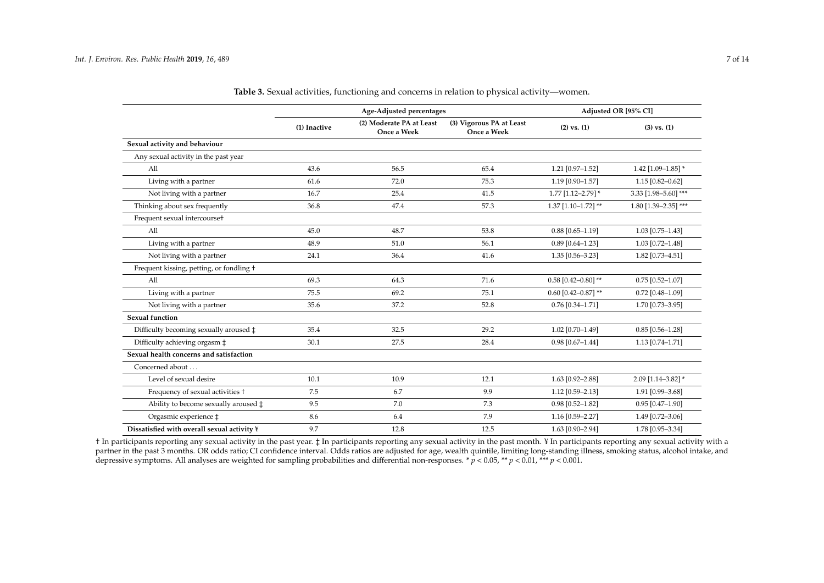|                                                 |              | Age-Adjusted percentages                |                                         | Adjusted OR [95% CI]  |                      |  |
|-------------------------------------------------|--------------|-----------------------------------------|-----------------------------------------|-----------------------|----------------------|--|
|                                                 | (1) Inactive | (2) Moderate PA at Least<br>Once a Week | (3) Vigorous PA at Least<br>Once a Week | $(2)$ vs. $(1)$       | $(3)$ vs. $(1)$      |  |
| Sexual activity and behaviour                   |              |                                         |                                         |                       |                      |  |
| Any sexual activity in the past year            |              |                                         |                                         |                       |                      |  |
| All                                             | 43.6         | 56.5                                    | 65.4                                    | 1.21 [0.97-1.52]      | $1.42$ [1.09-1.85] * |  |
| Living with a partner                           | 61.6         | 72.0                                    | 75.3                                    | 1.19 [0.90-1.57]      | $1.15$ [0.82-0.62]   |  |
| Not living with a partner                       | 16.7         | 25.4                                    | 41.5                                    | 1.77 [1.12-2.79] *    | 3.33 [1.98-5.60] *** |  |
| Thinking about sex frequently                   | 36.8         | 47.4                                    | 57.3                                    | $1.37$ [1.10-1.72] ** | 1.80 [1.39-2.35] *** |  |
| Frequent sexual intercourset                    |              |                                         |                                         |                       |                      |  |
| All                                             | 45.0         | 48.7                                    | 53.8                                    | $0.88$ [0.65-1.19]    | 1.03 [0.75-1.43]     |  |
| Living with a partner                           | 48.9         | 51.0                                    | 56.1                                    | $0.89$ [0.64-1.23]    | 1.03 [0.72-1.48]     |  |
| Not living with a partner                       | 24.1         | 36.4                                    | 41.6                                    | 1.35 [0.56-3.23]      | 1.82 [0.73-4.51]     |  |
| Frequent kissing, petting, or fondling +        |              |                                         |                                         |                       |                      |  |
| A11                                             | 69.3         | 64.3                                    | 71.6                                    | $0.58$ [0.42-0.80] ** | $0.75$ [0.52-1.07]   |  |
| Living with a partner                           | 75.5         | 69.2                                    | 75.1                                    | $0.60$ [0.42-0.87] ** | $0.72$ [0.48-1.09]   |  |
| Not living with a partner                       | 35.6         | 37.2                                    | 52.8                                    | $0.76$ [0.34-1.71]    | 1.70 [0.73-3.95]     |  |
| <b>Sexual function</b>                          |              |                                         |                                         |                       |                      |  |
| Difficulty becoming sexually aroused $\ddagger$ | 35.4         | 32.5                                    | 29.2                                    | 1.02 [0.70-1.49]      | $0.85$ [0.56-1.28]   |  |
| Difficulty achieving orgasm ‡                   | 30.1         | 27.5                                    | 28.4                                    | $0.98$ [0.67-1.44]    | $1.13$ [0.74-1.71]   |  |
| Sexual health concerns and satisfaction         |              |                                         |                                         |                       |                      |  |
| Concerned about                                 |              |                                         |                                         |                       |                      |  |
| Level of sexual desire                          | 10.1         | 10.9                                    | 12.1                                    | 1.63 [0.92-2.88]      | 2.09 [1.14-3.82] *   |  |
| Frequency of sexual activities +                | 7.5          | 6.7                                     | 9.9                                     | 1.12 [0.59-2.13]      | 1.91 [0.99-3.68]     |  |
| Ability to become sexually aroused $\ddagger$   | 9.5          | 7.0                                     | 7.3                                     | $0.98$ [0.52-1.82]    | $0.95$ [0.47-1.90]   |  |
| Orgasmic experience $\ddagger$                  | 8.6          | 6.4                                     | 7.9                                     | 1.16 [0.59-2.27]      | 1.49 [0.72-3.06]     |  |
| Dissatisfied with overall sexual activity ¥     | 9.7          | 12.8                                    | 12.5                                    | 1.63 [0.90-2.94]      | 1.78 [0.95-3.34]     |  |

**Table 3.** Sexual activities, functioning and concerns in relation to physical activity—women.

<span id="page-6-0"></span>† In participants reporting any sexual activity in the past year. ‡ In participants reporting any sexual activity in the past month. ¥ In participants reporting any sexual activity with a partner in the past 3 months. OR odds ratio; CI confidence interval. Odds ratios are adjusted for age, wealth quintile, limiting long-standing illness, smoking status, alcohol intake, and depressive symptoms. All analyses are weighted for sampling probabilities and differential non-responses. \* *p* < 0.05, \*\* *p* < 0.01, \*\*\* *p* < 0.001.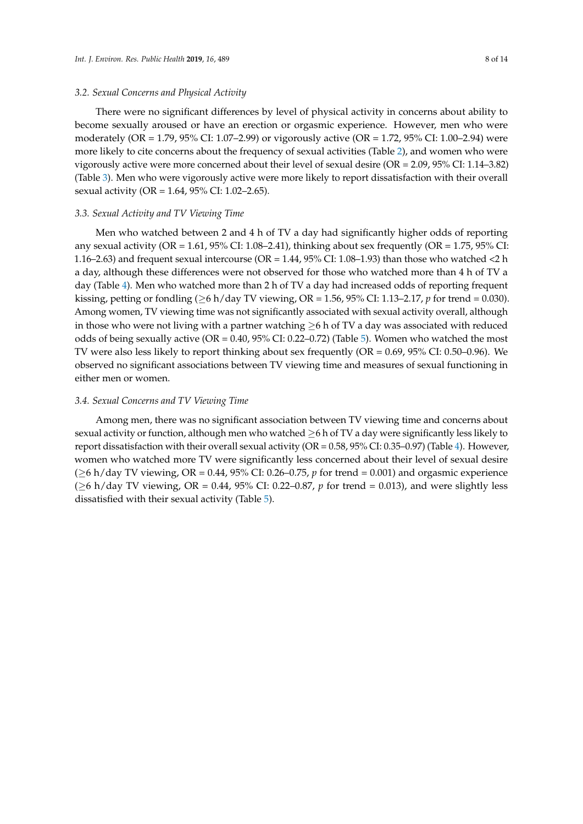#### *3.2. Sexual Concerns and Physical Activity*

There were no significant differences by level of physical activity in concerns about ability to become sexually aroused or have an erection or orgasmic experience. However, men who were moderately (OR = 1.79, 95% CI: 1.07–2.99) or vigorously active (OR = 1.72, 95% CI: 1.00–2.94) were more likely to cite concerns about the frequency of sexual activities (Table [2\)](#page-5-0), and women who were vigorously active were more concerned about their level of sexual desire (OR = 2.09, 95% CI: 1.14–3.82) (Table [3\)](#page-6-0). Men who were vigorously active were more likely to report dissatisfaction with their overall sexual activity (OR = 1.64, 95% CI: 1.02–2.65).

## *3.3. Sexual Activity and TV Viewing Time*

Men who watched between 2 and 4 h of TV a day had significantly higher odds of reporting any sexual activity (OR = 1.61, 95% CI: 1.08–2.41), thinking about sex frequently (OR = 1.75, 95% CI: 1.16–2.63) and frequent sexual intercourse (OR = 1.44, 95% CI: 1.08–1.93) than those who watched <2 h a day, although these differences were not observed for those who watched more than 4 h of TV a day (Table [4\)](#page-8-0). Men who watched more than 2 h of TV a day had increased odds of reporting frequent kissing, petting or fondling (≥6 h/day TV viewing, OR = 1.56, 95% CI: 1.13–2.17, *p* for trend = 0.030). Among women, TV viewing time was not significantly associated with sexual activity overall, although in those who were not living with a partner watching  $\geq$ 6 h of TV a day was associated with reduced odds of being sexually active (OR =  $0.40$ , 95% CI: 0.22–0.72) (Table [5\)](#page-9-0). Women who watched the most TV were also less likely to report thinking about sex frequently (OR = 0.69, 95% CI: 0.50–0.96). We observed no significant associations between TV viewing time and measures of sexual functioning in either men or women.

#### *3.4. Sexual Concerns and TV Viewing Time*

Among men, there was no significant association between TV viewing time and concerns about sexual activity or function, although men who watched  $\geq 6$  h of TV a day were significantly less likely to report dissatisfaction with their overall sexual activity ( $OR = 0.58$ ,  $95\%$  CI:  $0.35-0.97$ ) (Table [4\)](#page-8-0). However, women who watched more TV were significantly less concerned about their level of sexual desire (≥6 h/day TV viewing, OR = 0.44, 95% CI: 0.26–0.75, *p* for trend = 0.001) and orgasmic experience (≥6 h/day TV viewing, OR = 0.44, 95% CI: 0.22–0.87, *p* for trend = 0.013), and were slightly less dissatisfied with their sexual activity (Table [5\)](#page-9-0).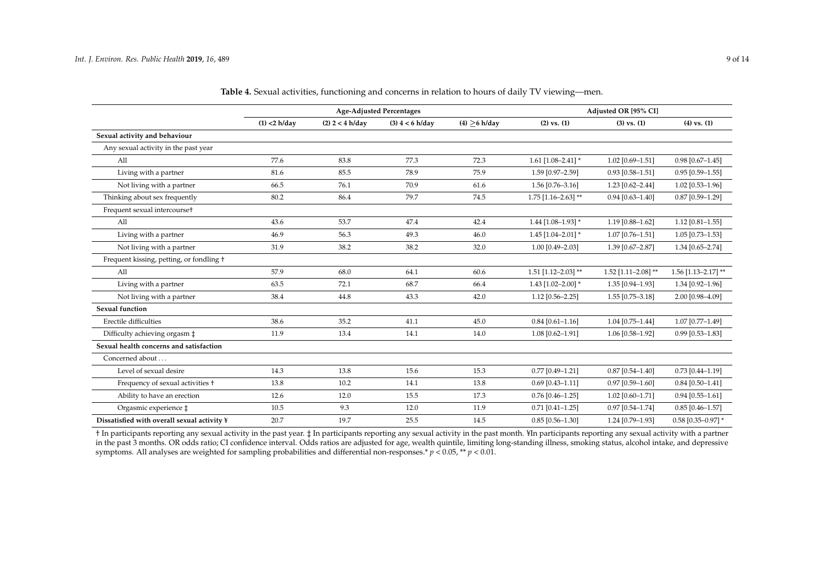|                                             | <b>Age-Adjusted Percentages</b> |                   |                   | Adjusted OR [95% CI] |                        |                       |                       |
|---------------------------------------------|---------------------------------|-------------------|-------------------|----------------------|------------------------|-----------------------|-----------------------|
|                                             | $(1)$ <2 h/day                  | $(2)$ 2 < 4 h/day | $(3)$ 4 < 6 h/day | $(4)$ >6 h/day       | $(2)$ vs. $(1)$        | $(3)$ vs. $(1)$       | $(4)$ vs. $(1)$       |
| Sexual activity and behaviour               |                                 |                   |                   |                      |                        |                       |                       |
| Any sexual activity in the past year        |                                 |                   |                   |                      |                        |                       |                       |
| All                                         | 77.6                            | 83.8              | 77.3              | 72.3                 | $1.61$ [1.08-2.41] *   | $1.02$ [0.69-1.51]    | $0.98$ [0.67-1.45]    |
| Living with a partner                       | 81.6                            | 85.5              | 78.9              | 75.9                 | 1.59 [0.97-2.59]       | $0.93$ [0.58-1.51]    | $0.95$ [0.59-1.55]    |
| Not living with a partner                   | 66.5                            | 76.1              | 70.9              | 61.6                 | 1.56 [0.76-3.16]       | $1.23$ [0.62-2.44]    | $1.02$ [0.53-1.96]    |
| Thinking about sex frequently               | 80.2                            | 86.4              | 79.7              | 74.5                 | $1.75$ [1.16-2.63] **  | $0.94$ [0.63-1.40]    | $0.87$ [0.59-1.29]    |
| Frequent sexual intercourset                |                                 |                   |                   |                      |                        |                       |                       |
| All                                         | 43.6                            | 53.7              | 47.4              | 42.4                 | $1.44$ [1.08-1.93] *   | $1.19$ [0.88-1.62]    | $1.12$ [0.81-1.55]    |
| Living with a partner                       | 46.9                            | 56.3              | 49.3              | 46.0                 | $1.45$ [1.04-2.01] *   | $1.07$ [0.76-1.51]    | $1.05$ [0.73-1.53]    |
| Not living with a partner                   | 31.9                            | 38.2              | 38.2              | 32.0                 | 1.00 [0.49-2.03]       | 1.39 [0.67-2.87]      | 1.34 [0.65-2.74]      |
| Frequent kissing, petting, or fondling +    |                                 |                   |                   |                      |                        |                       |                       |
| All                                         | 57.9                            | 68.0              | 64.1              | 60.6                 | $1.51$ [1.12-2.03] **  | $1.52$ [1.11-2.08] ** | $1.56$ [1.13-2.17] ** |
| Living with a partner                       | 63.5                            | 72.1              | 68.7              | 66.4                 | $1.43$ [1.02-2.00] *   | 1.35 [0.94-1.93]      | 1.34 [0.92-1.96]      |
| Not living with a partner                   | 38.4                            | 44.8              | 43.3              | 42.0                 | $1.12$ [0.56-2.25]     | $1.55$ [0.75-3.18]    | 2.00 [0.98-4.09]      |
| <b>Sexual function</b>                      |                                 |                   |                   |                      |                        |                       |                       |
| Erectile difficulties                       | 38.6                            | 35.2              | 41.1              | 45.0                 | $0.84$ [0.61-1.16]     | $1.04$ [0.75-1.44]    | $1.07$ [0.77-1.49]    |
| Difficulty achieving orgasm $\ddagger$      | 11.9                            | 13.4              | 14.1              | 14.0                 | $1.08 [0.62 - 1.91]$   | 1.06 [0.58-1.92]      | $0.99$ [0.53-1.83]    |
| Sexual health concerns and satisfaction     |                                 |                   |                   |                      |                        |                       |                       |
| Concerned about                             |                                 |                   |                   |                      |                        |                       |                       |
| Level of sexual desire                      | 14.3                            | 13.8              | 15.6              | 15.3                 | $0.77$ [0.49-1.21]     | $0.87$ [0.54-1.40]    | $0.73$ [0.44-1.19]    |
| Frequency of sexual activities +            | 13.8                            | 10.2              | 14.1              | 13.8                 | $0.69$ [0.43-1.11]     | $0.97$ [0.59-1.60]    | $0.84$ [0.50-1.41]    |
| Ability to have an erection                 | 12.6                            | 12.0              | 15.5              | 17.3                 | $0.76$ [0.46-1.25]     | $1.02$ [0.60-1.71]    | $0.94$ [0.55-1.61]    |
| Orgasmic experience $\ddagger$              | 10.5                            | 9.3               | 12.0              | 11.9                 | $0.71$ $[0.41 - 1.25]$ | $0.97$ [0.54-1.74]    | $0.85$ [0.46-1.57]    |
| Dissatisfied with overall sexual activity ¥ | 20.7                            | 19.7              | 25.5              | 14.5                 | $0.85$ [0.56-1.30]     | 1.24 [0.79-1.93]      | $0.58$ [0.35-0.97] *  |

**Table 4.** Sexual activities, functioning and concerns in relation to hours of daily TV viewing—men.

<span id="page-8-0"></span>† In participants reporting any sexual activity in the past year. ‡ In participants reporting any sexual activity in the past month. ¥In participants reporting any sexual activity with a partner in the past 3 months. OR odds ratio; CI confidence interval. Odds ratios are adjusted for age, wealth quintile, limiting long-standing illness, smoking status, alcohol intake, and depressive symptoms. All analyses are weighted for sampling probabilities and differential non-responses.\* *p* < 0.05, \*\* *p* < 0.01.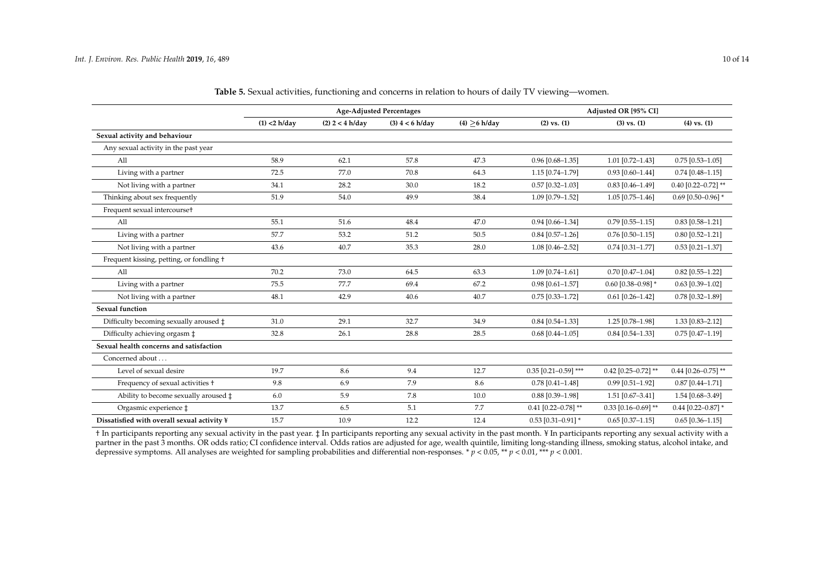|                                                 | <b>Age-Adjusted Percentages</b> |                   |                   | Adjusted OR [95% CI] |                        |                       |                        |
|-------------------------------------------------|---------------------------------|-------------------|-------------------|----------------------|------------------------|-----------------------|------------------------|
|                                                 | $(1)$ <2 h/day                  | $(2)$ 2 < 4 h/day | $(3)$ 4 < 6 h/day | $(4) \geq 6$ h/day   | $(2)$ vs. $(1)$        | $(3)$ vs. $(1)$       | $(4)$ vs. $(1)$        |
| Sexual activity and behaviour                   |                                 |                   |                   |                      |                        |                       |                        |
| Any sexual activity in the past year            |                                 |                   |                   |                      |                        |                       |                        |
| All                                             | 58.9                            | 62.1              | 57.8              | 47.3                 | $0.96$ [0.68-1.35]     | 1.01 [0.72-1.43]      | $0.75$ [0.53-1.05]     |
| Living with a partner                           | 72.5                            | 77.0              | 70.8              | 64.3                 | 1.15 [0.74-1.79]       | $0.93$ [0.60-1.44]    | $0.74$ [0.48-1.15]     |
| Not living with a partner                       | 34.1                            | 28.2              | 30.0              | 18.2                 | $0.57$ [0.32-1.03]     | $0.83$ [0.46-1.49]    | $0.40$ [0.22-0.72] **  |
| Thinking about sex frequently                   | 51.9                            | 54.0              | 49.9              | 38.4                 | 1.09 [0.79-1.52]       | $1.05$ [0.75-1.46]    | $0.69$ [0.50-0.96] *   |
| Frequent sexual intercourset                    |                                 |                   |                   |                      |                        |                       |                        |
| All                                             | 55.1                            | 51.6              | 48.4              | 47.0                 | $0.94$ [0.66-1.34]     | $0.79$ [0.55-1.15]    | $0.83$ [0.58-1.21]     |
| Living with a partner                           | 57.7                            | 53.2              | 51.2              | 50.5                 | $0.84$ [0.57-1.26]     | $0.76$ [0.50-1.15]    | $0.80$ [0.52-1.21]     |
| Not living with a partner                       | 43.6                            | 40.7              | 35.3              | 28.0                 | 1.08 [0.46-2.52]       | $0.74$ [0.31-1.77]    | $0.53$ [0.21-1.37]     |
| Frequent kissing, petting, or fondling +        |                                 |                   |                   |                      |                        |                       |                        |
| A11                                             | 70.2                            | 73.0              | 64.5              | 63.3                 | $1.09$ [0.74-1.61]     | $0.70$ [0.47-1.04]    | $0.82$ [0.55-1.22]     |
| Living with a partner                           | 75.5                            | 77.7              | 69.4              | 67.2                 | $0.98$ [0.61-1.57]     | $0.60$ [0.38-0.98] *  | $0.63$ [0.39-1.02]     |
| Not living with a partner                       | 48.1                            | 42.9              | 40.6              | 40.7                 | $0.75$ [0.33-1.72]     | $0.61$ [0.26-1.42]    | $0.78$ [0.32-1.89]     |
| Sexual function                                 |                                 |                   |                   |                      |                        |                       |                        |
| Difficulty becoming sexually aroused $\ddagger$ | 31.0                            | 29.1              | 32.7              | 34.9                 | $0.84$ [0.54-1.33]     | 1.25 [0.78-1.98]      | 1.33 [0.83-2.12]       |
| Difficulty achieving orgasm ‡                   | 32.8                            | 26.1              | 28.8              | 28.5                 | $0.68$ [0.44-1.05]     | $0.84$ [0.54-1.33]    | $0.75$ [0.47-1.19]     |
| Sexual health concerns and satisfaction         |                                 |                   |                   |                      |                        |                       |                        |
| Concerned about                                 |                                 |                   |                   |                      |                        |                       |                        |
| Level of sexual desire                          | 19.7                            | 8.6               | 9.4               | 12.7                 | $0.35$ [0.21-0.59] *** | $0.42$ [0.25-0.72] ** | $0.44$ [0.26-0.75] **  |
| Frequency of sexual activities +                | 9.8                             | 6.9               | 7.9               | 8.6                  | $0.78$ [0.41-1.48]     | $0.99$ [0.51-1.92]    | $0.87$ [0.44-1.71]     |
| Ability to become sexually aroused $\ddagger$   | 6.0                             | 5.9               | 7.8               | 10.0                 | $0.88$ [0.39-1.98]     | $1.51$ [0.67-3.41]    | 1.54 [0.68-3.49]       |
| Orgasmic experience $\ddagger$                  | 13.7                            | 6.5               | 5.1               | 7.7                  | $0.41$ [0.22-0.78] **  | $0.33$ [0.16-0.69] ** | $0.44$ [0.22-0.87] *   |
| Dissatisfied with overall sexual activity ¥     | 15.7                            | 10.9              | 12.2              | 12.4                 | $0.53$ [0.31-0.91] *   | $0.65$ [0.37-1.15]    | $0.65$ $[0.36 - 1.15]$ |

**Table 5.** Sexual activities, functioning and concerns in relation to hours of daily TV viewing—women.

<span id="page-9-0"></span>† In participants reporting any sexual activity in the past year. ‡ In participants reporting any sexual activity in the past month. ¥ In participants reporting any sexual activity with a partner in the past 3 months. OR odds ratio; CI confidence interval. Odds ratios are adjusted for age, wealth quintile, limiting long-standing illness, smoking status, alcohol intake, and depressive symptoms. All analyses are weighted for sampling probabilities and differential non-responses. \* *p* < 0.05, \*\* *p* < 0.01, \*\*\* *p* < 0.001.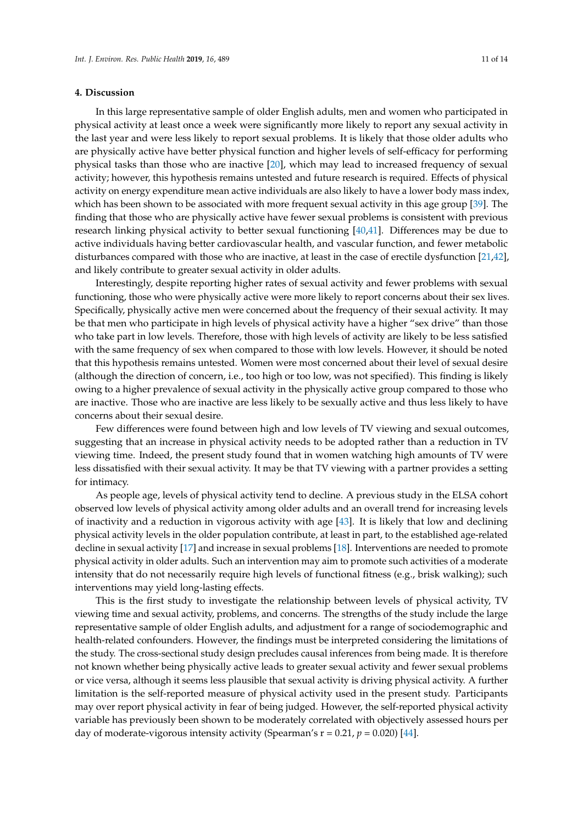## **4. Discussion**

In this large representative sample of older English adults, men and women who participated in physical activity at least once a week were significantly more likely to report any sexual activity in the last year and were less likely to report sexual problems. It is likely that those older adults who are physically active have better physical function and higher levels of self-efficacy for performing physical tasks than those who are inactive [\[20\]](#page-12-3), which may lead to increased frequency of sexual activity; however, this hypothesis remains untested and future research is required. Effects of physical activity on energy expenditure mean active individuals are also likely to have a lower body mass index, which has been shown to be associated with more frequent sexual activity in this age group [\[39\]](#page-13-3). The finding that those who are physically active have fewer sexual problems is consistent with previous research linking physical activity to better sexual functioning [\[40,](#page-13-4)[41\]](#page-13-5). Differences may be due to active individuals having better cardiovascular health, and vascular function, and fewer metabolic disturbances compared with those who are inactive, at least in the case of erectile dysfunction [\[21](#page-12-4)[,42\]](#page-13-6), and likely contribute to greater sexual activity in older adults.

Interestingly, despite reporting higher rates of sexual activity and fewer problems with sexual functioning, those who were physically active were more likely to report concerns about their sex lives. Specifically, physically active men were concerned about the frequency of their sexual activity. It may be that men who participate in high levels of physical activity have a higher "sex drive" than those who take part in low levels. Therefore, those with high levels of activity are likely to be less satisfied with the same frequency of sex when compared to those with low levels. However, it should be noted that this hypothesis remains untested. Women were most concerned about their level of sexual desire (although the direction of concern, i.e., too high or too low, was not specified). This finding is likely owing to a higher prevalence of sexual activity in the physically active group compared to those who are inactive. Those who are inactive are less likely to be sexually active and thus less likely to have concerns about their sexual desire.

Few differences were found between high and low levels of TV viewing and sexual outcomes, suggesting that an increase in physical activity needs to be adopted rather than a reduction in TV viewing time. Indeed, the present study found that in women watching high amounts of TV were less dissatisfied with their sexual activity. It may be that TV viewing with a partner provides a setting for intimacy.

As people age, levels of physical activity tend to decline. A previous study in the ELSA cohort observed low levels of physical activity among older adults and an overall trend for increasing levels of inactivity and a reduction in vigorous activity with age [\[43\]](#page-13-7). It is likely that low and declining physical activity levels in the older population contribute, at least in part, to the established age-related decline in sexual activity [\[17\]](#page-12-0) and increase in sexual problems [\[18\]](#page-12-1). Interventions are needed to promote physical activity in older adults. Such an intervention may aim to promote such activities of a moderate intensity that do not necessarily require high levels of functional fitness (e.g., brisk walking); such interventions may yield long-lasting effects.

This is the first study to investigate the relationship between levels of physical activity, TV viewing time and sexual activity, problems, and concerns. The strengths of the study include the large representative sample of older English adults, and adjustment for a range of sociodemographic and health-related confounders. However, the findings must be interpreted considering the limitations of the study. The cross-sectional study design precludes causal inferences from being made. It is therefore not known whether being physically active leads to greater sexual activity and fewer sexual problems or vice versa, although it seems less plausible that sexual activity is driving physical activity. A further limitation is the self-reported measure of physical activity used in the present study. Participants may over report physical activity in fear of being judged. However, the self-reported physical activity variable has previously been shown to be moderately correlated with objectively assessed hours per day of moderate-vigorous intensity activity (Spearman's  $r = 0.21$ ,  $p = 0.020$ ) [\[44\]](#page-13-8).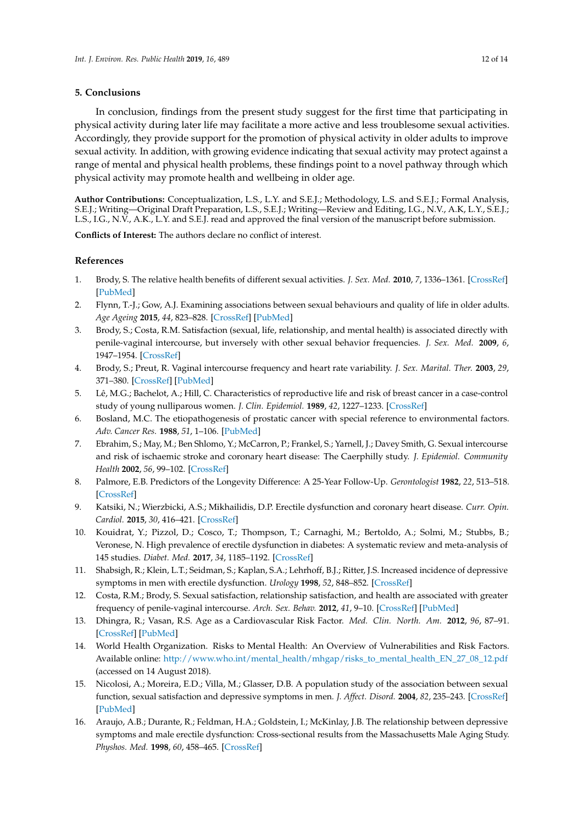#### **5. Conclusions**

In conclusion, findings from the present study suggest for the first time that participating in physical activity during later life may facilitate a more active and less troublesome sexual activities. Accordingly, they provide support for the promotion of physical activity in older adults to improve sexual activity. In addition, with growing evidence indicating that sexual activity may protect against a range of mental and physical health problems, these findings point to a novel pathway through which physical activity may promote health and wellbeing in older age.

**Author Contributions:** Conceptualization, L.S., L.Y. and S.E.J.; Methodology, L.S. and S.E.J.; Formal Analysis, S.E.J.; Writing—Original Draft Preparation, L.S., S.E.J.; Writing—Review and Editing, I.G., N.V., A.K, L.Y., S.E.J.; L.S., I.G., N.V., A.K., L.Y. and S.E.J. read and approved the final version of the manuscript before submission.

**Conflicts of Interest:** The authors declare no conflict of interest.

## **References**

- <span id="page-11-0"></span>1. Brody, S. The relative health benefits of different sexual activities. *J. Sex. Med.* **2010**, *7*, 1336–1361. [\[CrossRef\]](http://dx.doi.org/10.1111/j.1743-6109.2009.01677.x) [\[PubMed\]](http://www.ncbi.nlm.nih.gov/pubmed/20088868)
- <span id="page-11-1"></span>2. Flynn, T.-J.; Gow, A.J. Examining associations between sexual behaviours and quality of life in older adults. *Age Ageing* **2015**, *44*, 823–828. [\[CrossRef\]](http://dx.doi.org/10.1093/ageing/afv083) [\[PubMed\]](http://www.ncbi.nlm.nih.gov/pubmed/26178206)
- <span id="page-11-2"></span>3. Brody, S.; Costa, R.M. Satisfaction (sexual, life, relationship, and mental health) is associated directly with penile-vaginal intercourse, but inversely with other sexual behavior frequencies. *J. Sex. Med.* **2009**, *6*, 1947–1954. [\[CrossRef\]](http://dx.doi.org/10.1111/j.1743-6109.2009.01303.x)
- <span id="page-11-3"></span>4. Brody, S.; Preut, R. Vaginal intercourse frequency and heart rate variability. *J. Sex. Marital. Ther.* **2003**, *29*, 371–380. [\[CrossRef\]](http://dx.doi.org/10.1080/00926230390224747) [\[PubMed\]](http://www.ncbi.nlm.nih.gov/pubmed/14504008)
- <span id="page-11-4"></span>5. Lê, M.G.; Bachelot, A.; Hill, C. Characteristics of reproductive life and risk of breast cancer in a case-control study of young nulliparous women. *J. Clin. Epidemiol.* **1989**, *42*, 1227–1233. [\[CrossRef\]](http://dx.doi.org/10.1016/0895-4356(89)90121-2)
- <span id="page-11-5"></span>6. Bosland, M.C. The etiopathogenesis of prostatic cancer with special reference to environmental factors. *Adv. Cancer Res.* **1988**, *51*, 1–106. [\[PubMed\]](http://www.ncbi.nlm.nih.gov/pubmed/3066144)
- <span id="page-11-6"></span>7. Ebrahim, S.; May, M.; Ben Shlomo, Y.; McCarron, P.; Frankel, S.; Yarnell, J.; Davey Smith, G. Sexual intercourse and risk of ischaemic stroke and coronary heart disease: The Caerphilly study. *J. Epidemiol. Community Health* **2002**, *56*, 99–102. [\[CrossRef\]](http://dx.doi.org/10.1136/jech.56.2.99)
- <span id="page-11-7"></span>8. Palmore, E.B. Predictors of the Longevity Difference: A 25-Year Follow-Up. *Gerontologist* **1982**, *22*, 513–518. [\[CrossRef\]](http://dx.doi.org/10.1093/geront/22.6.513)
- <span id="page-11-8"></span>9. Katsiki, N.; Wierzbicki, A.S.; Mikhailidis, D.P. Erectile dysfunction and coronary heart disease. *Curr. Opin. Cardiol.* **2015**, *30*, 416–421. [\[CrossRef\]](http://dx.doi.org/10.1097/HCO.0000000000000174)
- <span id="page-11-9"></span>10. Kouidrat, Y.; Pizzol, D.; Cosco, T.; Thompson, T.; Carnaghi, M.; Bertoldo, A.; Solmi, M.; Stubbs, B.; Veronese, N. High prevalence of erectile dysfunction in diabetes: A systematic review and meta-analysis of 145 studies. *Diabet. Med.* **2017**, *34*, 1185–1192. [\[CrossRef\]](http://dx.doi.org/10.1111/dme.13403)
- <span id="page-11-10"></span>11. Shabsigh, R.; Klein, L.T.; Seidman, S.; Kaplan, S.A.; Lehrhoff, B.J.; Ritter, J.S. Increased incidence of depressive symptoms in men with erectile dysfunction. *Urology* **1998**, *52*, 848–852. [\[CrossRef\]](http://dx.doi.org/10.1016/S0090-4295(98)00292-1)
- <span id="page-11-11"></span>12. Costa, R.M.; Brody, S. Sexual satisfaction, relationship satisfaction, and health are associated with greater frequency of penile-vaginal intercourse. *Arch. Sex. Behav.* **2012**, *41*, 9–10. [\[CrossRef\]](http://dx.doi.org/10.1007/s10508-011-9847-9) [\[PubMed\]](http://www.ncbi.nlm.nih.gov/pubmed/21879428)
- <span id="page-11-12"></span>13. Dhingra, R.; Vasan, R.S. Age as a Cardiovascular Risk Factor. *Med. Clin. North. Am.* **2012**, *96*, 87–91. [\[CrossRef\]](http://dx.doi.org/10.1016/j.mcna.2011.11.003) [\[PubMed\]](http://www.ncbi.nlm.nih.gov/pubmed/22391253)
- <span id="page-11-13"></span>14. World Health Organization. Risks to Mental Health: An Overview of Vulnerabilities and Risk Factors. Available online: [http://www.who.int/mental\\_health/mhgap/risks\\_to\\_mental\\_health\\_EN\\_27\\_08\\_12.pdf](http://www.who.int/mental_health/mhgap/risks_to_mental_health_EN_27_08_12.pdf) (accessed on 14 August 2018).
- <span id="page-11-14"></span>15. Nicolosi, A.; Moreira, E.D.; Villa, M.; Glasser, D.B. A population study of the association between sexual function, sexual satisfaction and depressive symptoms in men. *J. Affect. Disord.* **2004**, *82*, 235–243. [\[CrossRef\]](http://dx.doi.org/10.1016/j.jad.2003.12.008) [\[PubMed\]](http://www.ncbi.nlm.nih.gov/pubmed/15488252)
- <span id="page-11-15"></span>16. Araujo, A.B.; Durante, R.; Feldman, H.A.; Goldstein, I.; McKinlay, J.B. The relationship between depressive symptoms and male erectile dysfunction: Cross-sectional results from the Massachusetts Male Aging Study. *Physhos. Med.* **1998**, *60*, 458–465. [\[CrossRef\]](http://dx.doi.org/10.1097/00006842-199807000-00011)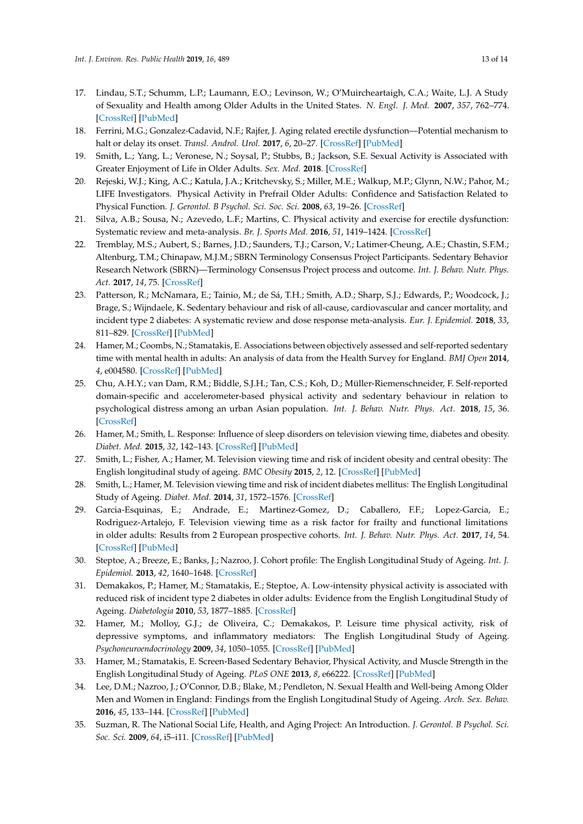- <span id="page-12-0"></span>17. Lindau, S.T.; Schumm, L.P.; Laumann, E.O.; Levinson, W.; O'Muircheartaigh, C.A.; Waite, L.J. A Study of Sexuality and Health among Older Adults in the United States. *N. Engl. J. Med.* **2007**, *357*, 762–774. [\[CrossRef\]](http://dx.doi.org/10.1056/NEJMoa067423) [\[PubMed\]](http://www.ncbi.nlm.nih.gov/pubmed/17715410)
- <span id="page-12-1"></span>18. Ferrini, M.G.; Gonzalez-Cadavid, N.F.; Rajfer, J. Aging related erectile dysfunction—Potential mechanism to halt or delay its onset. *Transl. Androl. Urol.* **2017**, *6*, 20–27. [\[CrossRef\]](http://dx.doi.org/10.21037/tau.2016.11.18) [\[PubMed\]](http://www.ncbi.nlm.nih.gov/pubmed/28217447)
- <span id="page-12-2"></span>19. Smith, L.; Yang, L.; Veronese, N.; Soysal, P.; Stubbs, B.; Jackson, S.E. Sexual Activity is Associated with Greater Enjoyment of Life in Older Adults. *Sex. Med.* **2018**. [\[CrossRef\]](http://dx.doi.org/10.1016/j.esxm.2018.11.001)
- <span id="page-12-3"></span>20. Rejeski, W.J.; King, A.C.; Katula, J.A.; Kritchevsky, S.; Miller, M.E.; Walkup, M.P.; Glynn, N.W.; Pahor, M.; LIFE Investigators. Physical Activity in Prefrail Older Adults: Confidence and Satisfaction Related to Physical Function. *J. Gerontol. B Psychol. Sci. Soc. Sci.* **2008**, *63*, 19–26. [\[CrossRef\]](http://dx.doi.org/10.1093/geronb/63.1.P19)
- <span id="page-12-4"></span>21. Silva, A.B.; Sousa, N.; Azevedo, L.F.; Martins, C. Physical activity and exercise for erectile dysfunction: Systematic review and meta-analysis. *Br. J. Sports Med.* **2016**, *51*, 1419–1424. [\[CrossRef\]](http://dx.doi.org/10.1136/bjsports-2016-096418)
- <span id="page-12-5"></span>22. Tremblay, M.S.; Aubert, S.; Barnes, J.D.; Saunders, T.J.; Carson, V.; Latimer-Cheung, A.E.; Chastin, S.F.M.; Altenburg, T.M.; Chinapaw, M.J.M.; SBRN Terminology Consensus Project Participants. Sedentary Behavior Research Network (SBRN)—Terminology Consensus Project process and outcome. *Int. J. Behav. Nutr. Phys. Act.* **2017**, *14*, 75. [\[CrossRef\]](http://dx.doi.org/10.1186/s12966-017-0525-8)
- <span id="page-12-6"></span>23. Patterson, R.; McNamara, E.; Tainio, M.; de Sá, T.H.; Smith, A.D.; Sharp, S.J.; Edwards, P.; Woodcock, J.; Brage, S.; Wijndaele, K. Sedentary behaviour and risk of all-cause, cardiovascular and cancer mortality, and incident type 2 diabetes: A systematic review and dose response meta-analysis. *Eur. J. Epidemiol.* **2018**, *33*, 811–829. [\[CrossRef\]](http://dx.doi.org/10.1007/s10654-018-0380-1) [\[PubMed\]](http://www.ncbi.nlm.nih.gov/pubmed/29589226)
- 24. Hamer, M.; Coombs, N.; Stamatakis, E. Associations between objectively assessed and self-reported sedentary time with mental health in adults: An analysis of data from the Health Survey for England. *BMJ Open* **2014**, *4*, e004580. [\[CrossRef\]](http://dx.doi.org/10.1136/bmjopen-2013-004580) [\[PubMed\]](http://www.ncbi.nlm.nih.gov/pubmed/24650807)
- <span id="page-12-7"></span>25. Chu, A.H.Y.; van Dam, R.M.; Biddle, S.J.H.; Tan, C.S.; Koh, D.; Müller-Riemenschneider, F. Self-reported domain-specific and accelerometer-based physical activity and sedentary behaviour in relation to psychological distress among an urban Asian population. *Int. J. Behav. Nutr. Phys. Act.* **2018**, *15*, 36. [\[CrossRef\]](http://dx.doi.org/10.1186/s12966-018-0669-1)
- <span id="page-12-8"></span>26. Hamer, M.; Smith, L. Response: Influence of sleep disorders on television viewing time, diabetes and obesity. *Diabet. Med.* **2015**, *32*, 142–143. [\[CrossRef\]](http://dx.doi.org/10.1111/dme.12609) [\[PubMed\]](http://www.ncbi.nlm.nih.gov/pubmed/25307739)
- 27. Smith, L.; Fisher, A.; Hamer, M. Television viewing time and risk of incident obesity and central obesity: The English longitudinal study of ageing. *BMC Obesity* **2015**, *2*, 12. [\[CrossRef\]](http://dx.doi.org/10.1186/s40608-015-0042-8) [\[PubMed\]](http://www.ncbi.nlm.nih.gov/pubmed/26217527)
- 28. Smith, L.; Hamer, M. Television viewing time and risk of incident diabetes mellitus: The English Longitudinal Study of Ageing. *Diabet. Med.* **2014**, *31*, 1572–1576. [\[CrossRef\]](http://dx.doi.org/10.1111/dme.12544)
- <span id="page-12-9"></span>29. Garcia-Esquinas, E.; Andrade, E.; Martinez-Gomez, D.; Caballero, F.F.; Lopez-Garcia, E.; Rodriguez-Artalejo, F. Television viewing time as a risk factor for frailty and functional limitations in older adults: Results from 2 European prospective cohorts. *Int. J. Behav. Nutr. Phys. Act.* **2017**, *14*, 54. [\[CrossRef\]](http://dx.doi.org/10.1186/s12966-017-0511-1) [\[PubMed\]](http://www.ncbi.nlm.nih.gov/pubmed/28446189)
- <span id="page-12-10"></span>30. Steptoe, A.; Breeze, E.; Banks, J.; Nazroo, J. Cohort profile: The English Longitudinal Study of Ageing. *Int. J. Epidemiol.* **2013**, *42*, 1640–1648. [\[CrossRef\]](http://dx.doi.org/10.1093/ije/dys168)
- <span id="page-12-11"></span>31. Demakakos, P.; Hamer, M.; Stamatakis, E.; Steptoe, A. Low-intensity physical activity is associated with reduced risk of incident type 2 diabetes in older adults: Evidence from the English Longitudinal Study of Ageing. *Diabetologia* **2010**, *53*, 1877–1885. [\[CrossRef\]](http://dx.doi.org/10.1007/s00125-010-1785-x)
- <span id="page-12-12"></span>32. Hamer, M.; Molloy, G.J.; de Oliveira, C.; Demakakos, P. Leisure time physical activity, risk of depressive symptoms, and inflammatory mediators: The English Longitudinal Study of Ageing. *Psychoneuroendocrinology* **2009**, *34*, 1050–1055. [\[CrossRef\]](http://dx.doi.org/10.1016/j.psyneuen.2009.02.004) [\[PubMed\]](http://www.ncbi.nlm.nih.gov/pubmed/19272716)
- <span id="page-12-13"></span>33. Hamer, M.; Stamatakis, E. Screen-Based Sedentary Behavior, Physical Activity, and Muscle Strength in the English Longitudinal Study of Ageing. *PLoS ONE* **2013**, *8*, e66222. [\[CrossRef\]](http://dx.doi.org/10.1371/journal.pone.0066222) [\[PubMed\]](http://www.ncbi.nlm.nih.gov/pubmed/23755302)
- <span id="page-12-14"></span>34. Lee, D.M.; Nazroo, J.; O'Connor, D.B.; Blake, M.; Pendleton, N. Sexual Health and Well-being Among Older Men and Women in England: Findings from the English Longitudinal Study of Ageing. *Arch. Sex. Behav.* **2016**, *45*, 133–144. [\[CrossRef\]](http://dx.doi.org/10.1007/s10508-014-0465-1) [\[PubMed\]](http://www.ncbi.nlm.nih.gov/pubmed/25624001)
- <span id="page-12-15"></span>35. Suzman, R. The National Social Life, Health, and Aging Project: An Introduction. *J. Gerontol. B Psychol. Sci. Soc. Sci.* **2009**, *64*, i5–i11. [\[CrossRef\]](http://dx.doi.org/10.1093/geronb/gbp078) [\[PubMed\]](http://www.ncbi.nlm.nih.gov/pubmed/19837963)